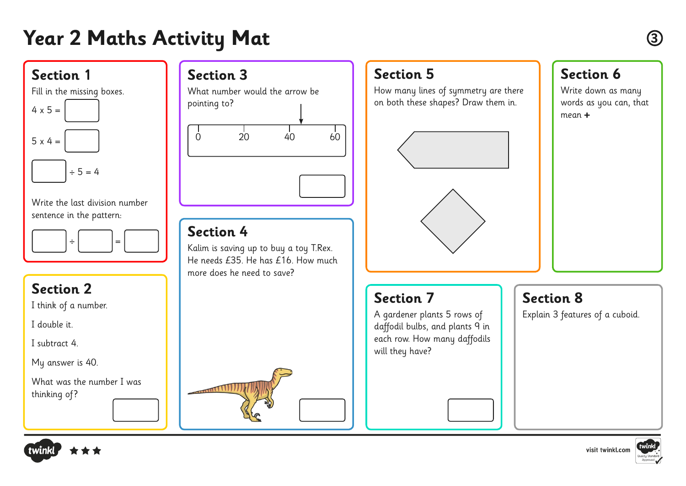# **Year 2 Maths Activity Mat <sup>3</sup>**

### **Section 5**

**Section 7**

will they have?

A gardener plants 5 rows of daffodil bulbs, and plants 9 in each row. How many daffodils

How many lines of symmetry are there on both these shapes? Draw them in.



## **Section 8**

Explain 3 features of a cuboid.



#### Write down as many words as you can, that mean **+**



## **Section 3**

What number would the arrow be pointing to? 0 20 40 60

#### **Section 4**

Kalim is saving up to buy a toy T.Rex. He needs  $f35$ . He has  $f16$ . How much more does he need to save?

### **Section 2**

**Section 1**

 $4 \times 5 =$ 

 $5 \times 4 =$ 

Fill in the missing boxes.

 $\div$  5 = 4

Write the last division number

sentence in the pattern:

÷ =

I think of a number.

I double it.

I subtract 4.

My answer is 40.

What was the number I was thinking of?